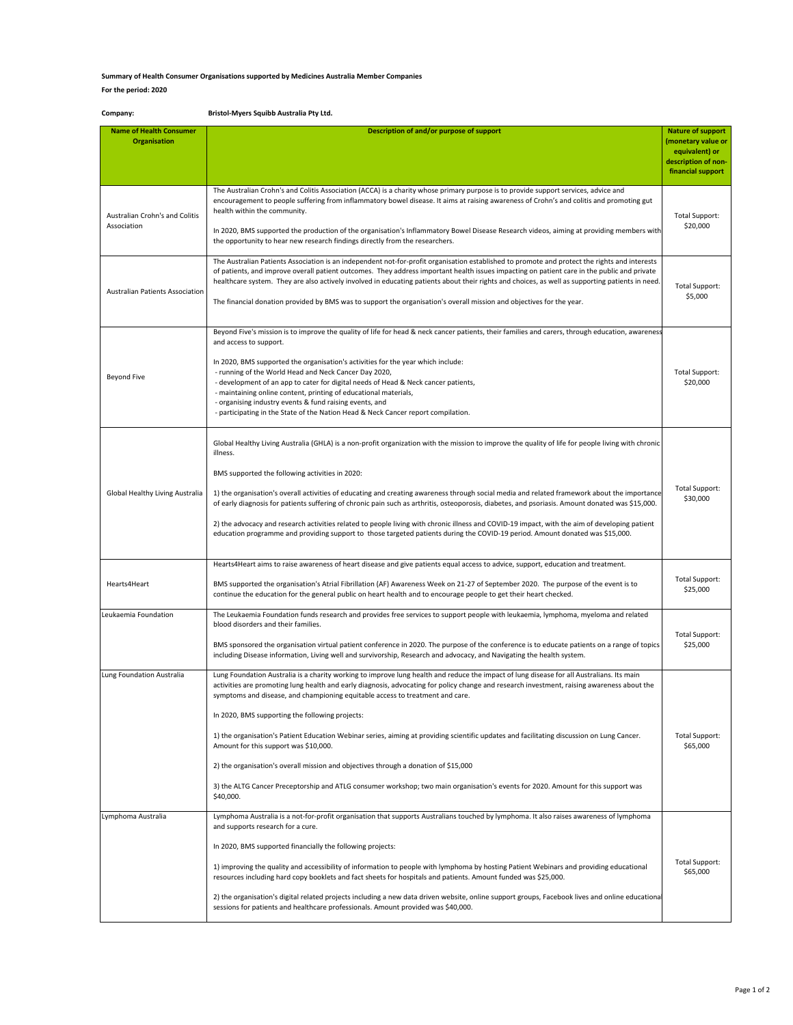## **Summary of Health Consumer Organisations supported by Medicines Australia Member Companies**

## **For the period: 2020**

| Company:                                              | Bristol-Myers Squibb Australia Pty Ltd.                                                                                                                                                                                                                                                                                                                                                                                                                                                                                                                                                                                                                                                                                                                                                                                                                      |                                                                                                              |
|-------------------------------------------------------|--------------------------------------------------------------------------------------------------------------------------------------------------------------------------------------------------------------------------------------------------------------------------------------------------------------------------------------------------------------------------------------------------------------------------------------------------------------------------------------------------------------------------------------------------------------------------------------------------------------------------------------------------------------------------------------------------------------------------------------------------------------------------------------------------------------------------------------------------------------|--------------------------------------------------------------------------------------------------------------|
| <b>Name of Health Consumer</b><br><b>Organisation</b> | Description of and/or purpose of support                                                                                                                                                                                                                                                                                                                                                                                                                                                                                                                                                                                                                                                                                                                                                                                                                     | <b>Nature of support</b><br>(monetary value or<br>equivalent) or<br>description of non-<br>financial support |
| Australian Crohn's and Colitis<br>Association         | The Australian Crohn's and Colitis Association (ACCA) is a charity whose primary purpose is to provide support services, advice and<br>encouragement to people suffering from inflammatory bowel disease. It aims at raising awareness of Crohn's and colitis and promoting gut<br>health within the community.<br>In 2020, BMS supported the production of the organisation's Inflammatory Bowel Disease Research videos, aiming at providing members with<br>the opportunity to hear new research findings directly from the researchers.                                                                                                                                                                                                                                                                                                                  | <b>Total Support:</b><br>\$20,000                                                                            |
| Australian Patients Association                       | The Australian Patients Association is an independent not-for-profit organisation established to promote and protect the rights and interests<br>of patients, and improve overall patient outcomes. They address important health issues impacting on patient care in the public and private<br>healthcare system. They are also actively involved in educating patients about their rights and choices, as well as supporting patients in need.<br>The financial donation provided by BMS was to support the organisation's overall mission and objectives for the year.                                                                                                                                                                                                                                                                                    | <b>Total Support:</b><br>\$5,000                                                                             |
| <b>Beyond Five</b>                                    | Beyond Five's mission is to improve the quality of life for head & neck cancer patients, their families and carers, through education, awareness<br>and access to support.<br>In 2020, BMS supported the organisation's activities for the year which include:<br>- running of the World Head and Neck Cancer Day 2020,<br>- development of an app to cater for digital needs of Head & Neck cancer patients,<br>- maintaining online content, printing of educational materials,<br>- organising industry events & fund raising events, and<br>- participating in the State of the Nation Head & Neck Cancer report compilation.                                                                                                                                                                                                                            | <b>Total Support:</b><br>\$20,000                                                                            |
| Global Healthy Living Australia                       | Global Healthy Living Australia (GHLA) is a non-profit organization with the mission to improve the quality of life for people living with chronic<br>illness.<br>BMS supported the following activities in 2020:<br>1) the organisation's overall activities of educating and creating awareness through social media and related framework about the importance<br>of early diagnosis for patients suffering of chronic pain such as arthritis, osteoporosis, diabetes, and psoriasis. Amount donated was \$15,000.<br>2) the advocacy and research activities related to people living with chronic illness and COVID-19 impact, with the aim of developing patient<br>education programme and providing support to those targeted patients during the COVID-19 period. Amount donated was \$15,000.                                                      | <b>Total Support:</b><br>\$30,000                                                                            |
| Hearts4Heart                                          | Hearts4Heart aims to raise awareness of heart disease and give patients equal access to advice, support, education and treatment.<br>BMS supported the organisation's Atrial Fibrillation (AF) Awareness Week on 21-27 of September 2020. The purpose of the event is to<br>continue the education for the general public on heart health and to encourage people to get their heart checked.                                                                                                                                                                                                                                                                                                                                                                                                                                                                | Total Support:<br>\$25,000                                                                                   |
| Leukaemia Foundation                                  | The Leukaemia Foundation funds research and provides free services to support people with leukaemia, lymphoma, myeloma and related<br>blood disorders and their families.<br>BMS sponsored the organisation virtual patient conference in 2020. The purpose of the conference is to educate patients on a range of topics<br>including Disease information, Living well and survivorship, Research and advocacy, and Navigating the health system.                                                                                                                                                                                                                                                                                                                                                                                                           | <b>Total Support:</b><br>\$25,000                                                                            |
| Lung Foundation Australia                             | Lung Foundation Australia is a charity working to improve lung health and reduce the impact of lung disease for all Australians. Its main<br>activities are promoting lung health and early diagnosis, advocating for policy change and research investment, raising awareness about the<br>symptoms and disease, and championing equitable access to treatment and care.<br>In 2020, BMS supporting the following projects:<br>1) the organisation's Patient Education Webinar series, aiming at providing scientific updates and facilitating discussion on Lung Cancer.<br>Amount for this support was \$10,000.<br>2) the organisation's overall mission and objectives through a donation of \$15,000<br>3) the ALTG Cancer Preceptorship and ATLG consumer workshop; two main organisation's events for 2020. Amount for this support was<br>\$40,000. | <b>Total Support:</b><br>\$65,000                                                                            |
| Lymphoma Australia                                    | Lymphoma Australia is a not-for-profit organisation that supports Australians touched by lymphoma. It also raises awareness of lymphoma<br>and supports research for a cure.<br>In 2020, BMS supported financially the following projects:<br>1) improving the quality and accessibility of information to people with lymphoma by hosting Patient Webinars and providing educational<br>resources including hard copy booklets and fact sheets for hospitals and patients. Amount funded was \$25,000.<br>2) the organisation's digital related projects including a new data driven website, online support groups, Facebook lives and online educational<br>sessions for patients and healthcare professionals. Amount provided was \$40,000.                                                                                                             | Total Support:<br>\$65,000                                                                                   |